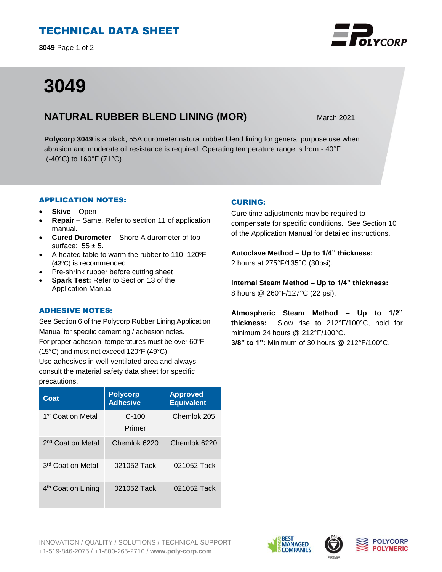# TECHNICAL DATA SHEET

**3049** Page 1 of 2

# **3049**

# **NATURAL RUBBER BLEND LINING (MOR)** March 2021

**Polycorp 3049** is a black, 55A durometer natural rubber blend lining for general purpose use when abrasion and moderate oil resistance is required. Operating temperature range is from - 40°F (-40°C) to 160°F (71°C).

## APPLICATION NOTES:

- **Skive** Open
- **Repair**  Same. Refer to section 11 of application manual.
- **Cured Durometer**  Shore A durometer of top surface:  $55 \pm 5$ .
- A heated table to warm the rubber to 110-120°F (43<sup>o</sup>C) is recommended
- Pre-shrink rubber before cutting sheet
- **Spark Test:** Refer to Section 13 of the Application Manual

## ADHESIVE NOTES:

See Section 6 of the Polycorp Rubber Lining Application Manual for specific cementing / adhesion notes. For proper adhesion, temperatures must be over 60°F (15°C) and must not exceed 120°F (49°C). Use adhesives in well-ventilated area and always consult the material safety data sheet for specific precautions.

| Coat                           | <b>Polycorp</b><br><b>Adhesive</b> | <b>Approved</b><br><b>Equivalent</b> |
|--------------------------------|------------------------------------|--------------------------------------|
| 1st Coat on Metal              | $C-100$<br>Primer                  | Chemlok 205                          |
| 2 <sup>nd</sup> Coat on Metal  | Chemlok 6220                       | Chemlok 6220                         |
| 3 <sup>rd</sup> Coat on Metal  | 021052 Tack                        | 021052 Tack                          |
| 4 <sup>th</sup> Coat on Lining | 021052 Tack                        | 021052 Tack                          |

## CURING:

Cure time adjustments may be required to compensate for specific conditions. See Section 10 of the Application Manual for detailed instructions.

**Autoclave Method – Up to 1/4" thickness:**  2 hours at 275°F/135°C (30psi).

**Internal Steam Method – Up to 1/4" thickness:** 8 hours @ 260°F/127°C (22 psi).

**Atmospheric Steam Method – Up to 1/2" thickness:** Slow rise to 212°F/100°C, hold for minimum 24 hours @ 212°F/100°C. **3/8" to 1":** Minimum of 30 hours @ 212°F/100°C.